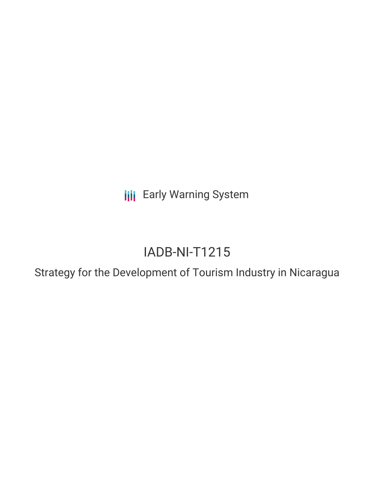**III** Early Warning System

# IADB-NI-T1215

Strategy for the Development of Tourism Industry in Nicaragua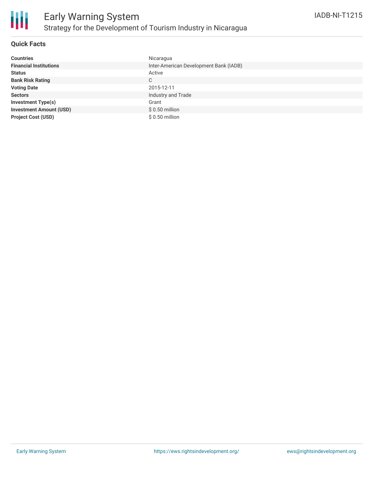

### **Quick Facts**

| <b>Countries</b>               | Nicaragua                              |
|--------------------------------|----------------------------------------|
| <b>Financial Institutions</b>  | Inter-American Development Bank (IADB) |
| <b>Status</b>                  | Active                                 |
| <b>Bank Risk Rating</b>        | C                                      |
| <b>Voting Date</b>             | 2015-12-11                             |
| <b>Sectors</b>                 | Industry and Trade                     |
| <b>Investment Type(s)</b>      | Grant                                  |
| <b>Investment Amount (USD)</b> | $$0.50$ million                        |
| <b>Project Cost (USD)</b>      | $$0.50$ million                        |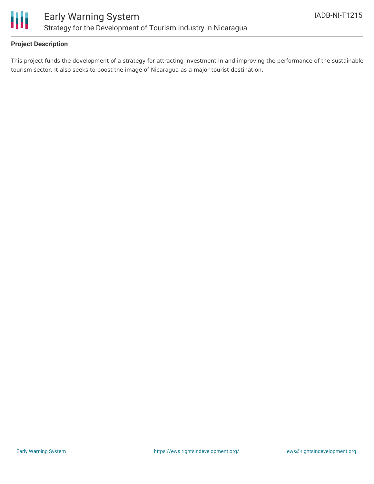

## **Project Description**

This project funds the development of a strategy for attracting investment in and improving the performance of the sustainable tourism sector. It also seeks to boost the image of Nicaragua as a major tourist destination.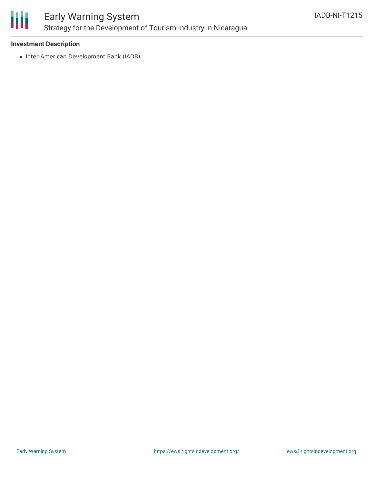

### **Investment Description**

• Inter-American Development Bank (IADB)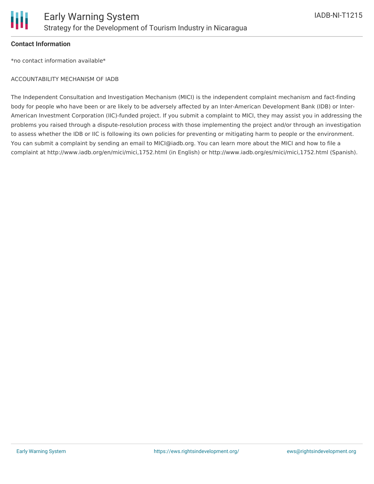

#### **Contact Information**

\*no contact information available\*

#### ACCOUNTABILITY MECHANISM OF IADB

The Independent Consultation and Investigation Mechanism (MICI) is the independent complaint mechanism and fact-finding body for people who have been or are likely to be adversely affected by an Inter-American Development Bank (IDB) or Inter-American Investment Corporation (IIC)-funded project. If you submit a complaint to MICI, they may assist you in addressing the problems you raised through a dispute-resolution process with those implementing the project and/or through an investigation to assess whether the IDB or IIC is following its own policies for preventing or mitigating harm to people or the environment. You can submit a complaint by sending an email to MICI@iadb.org. You can learn more about the MICI and how to file a complaint at http://www.iadb.org/en/mici/mici,1752.html (in English) or http://www.iadb.org/es/mici/mici,1752.html (Spanish).